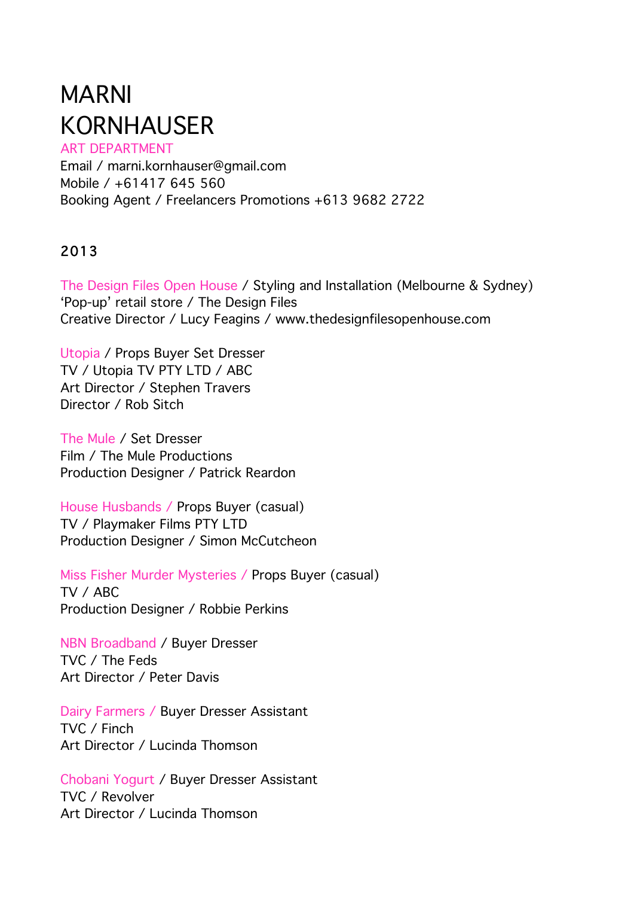# MARNI KORNHAUSER

ART DEPARTMENT Email / marni.kornhauser@gmail.com Mobile / +61417 645 560 Booking Agent / Freelancers Promotions +613 9682 2722

# 2013

The Design Files Open House / Styling and Installation (Melbourne & Sydney) 'Pop-up' retail store / The Design Files Creative Director / Lucy Feagins / www.thedesignfilesopenhouse.com

Utopia / Props Buyer Set Dresser TV / Utopia TV PTY LTD / ABC Art Director / Stephen Travers Director / Rob Sitch

The Mule / Set Dresser Film / The Mule Productions Production Designer / Patrick Reardon

House Husbands / Props Buyer (casual) TV / Playmaker Films PTY LTD Production Designer / Simon McCutcheon

Miss Fisher Murder Mysteries / Props Buyer (casual) TV / ABC Production Designer / Robbie Perkins

NBN Broadband / Buyer Dresser TVC / The Feds Art Director / Peter Davis

Dairy Farmers / Buyer Dresser Assistant TVC / Finch Art Director / Lucinda Thomson

Chobani Yogurt / Buyer Dresser Assistant TVC / Revolver Art Director / Lucinda Thomson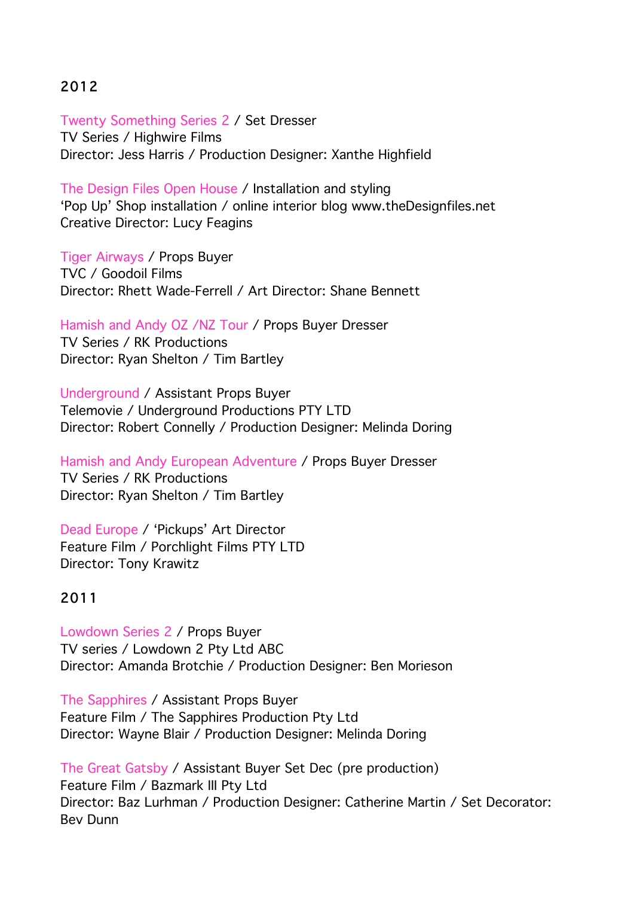# 2012

Twenty Something Series 2 / Set Dresser TV Series / Highwire Films Director: Jess Harris / Production Designer: Xanthe Highfield

The Design Files Open House / Installation and styling 'Pop Up' Shop installation / online interior blog www.theDesignfiles.net Creative Director: Lucy Feagins

Tiger Airways / Props Buyer TVC / Goodoil Films Director: Rhett Wade-Ferrell / Art Director: Shane Bennett

Hamish and Andy OZ /NZ Tour / Props Buyer Dresser

TV Series / RK Productions Director: Ryan Shelton / Tim Bartley

Underground / Assistant Props Buyer Telemovie / Underground Productions PTY LTD Director: Robert Connelly / Production Designer: Melinda Doring

Hamish and Andy European Adventure / Props Buyer Dresser TV Series / RK Productions Director: Ryan Shelton / Tim Bartley

Dead Europe / 'Pickups' Art Director Feature Film / Porchlight Films PTY LTD Director: Tony Krawitz

# 2011

Lowdown Series 2 / Props Buyer TV series / Lowdown 2 Pty Ltd ABC Director: Amanda Brotchie / Production Designer: Ben Morieson

The Sapphires / Assistant Props Buyer Feature Film / The Sapphires Production Pty Ltd Director: Wayne Blair / Production Designer: Melinda Doring

The Great Gatsby / Assistant Buyer Set Dec (pre production) Feature Film / Bazmark III Pty Ltd Director: Baz Lurhman / Production Designer: Catherine Martin / Set Decorator: Bev Dunn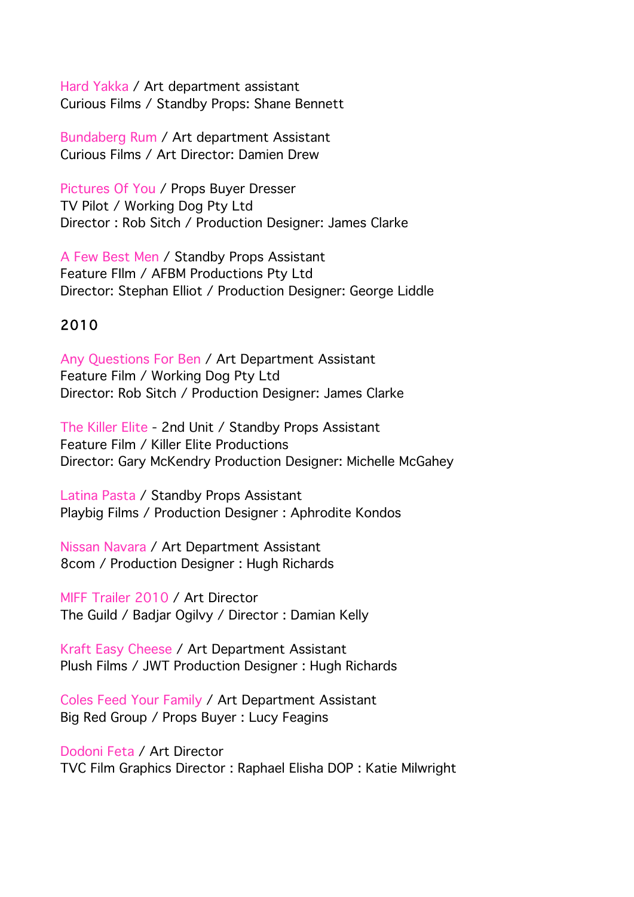Hard Yakka / Art department assistant Curious Films / Standby Props: Shane Bennett

Bundaberg Rum / Art department Assistant Curious Films / Art Director: Damien Drew

Pictures Of You / Props Buyer Dresser TV Pilot / Working Dog Pty Ltd Director : Rob Sitch / Production Designer: James Clarke

A Few Best Men / Standby Props Assistant Feature FIlm / AFBM Productions Pty Ltd Director: Stephan Elliot / Production Designer: George Liddle

# 2010

Any Questions For Ben / Art Department Assistant Feature Film / Working Dog Pty Ltd Director: Rob Sitch / Production Designer: James Clarke

The Killer Elite - 2nd Unit / Standby Props Assistant Feature Film / Killer Elite Productions Director: Gary McKendry Production Designer: Michelle McGahey

Latina Pasta / Standby Props Assistant Playbig Films / Production Designer : Aphrodite Kondos

Nissan Navara / Art Department Assistant 8com / Production Designer : Hugh Richards

MIFF Trailer 2010 / Art Director The Guild / Badjar Ogilvy / Director : Damian Kelly

Kraft Easy Cheese / Art Department Assistant Plush Films / JWT Production Designer : Hugh Richards

Coles Feed Your Family / Art Department Assistant Big Red Group / Props Buyer : Lucy Feagins

Dodoni Feta / Art Director TVC Film Graphics Director : Raphael Elisha DOP : Katie Milwright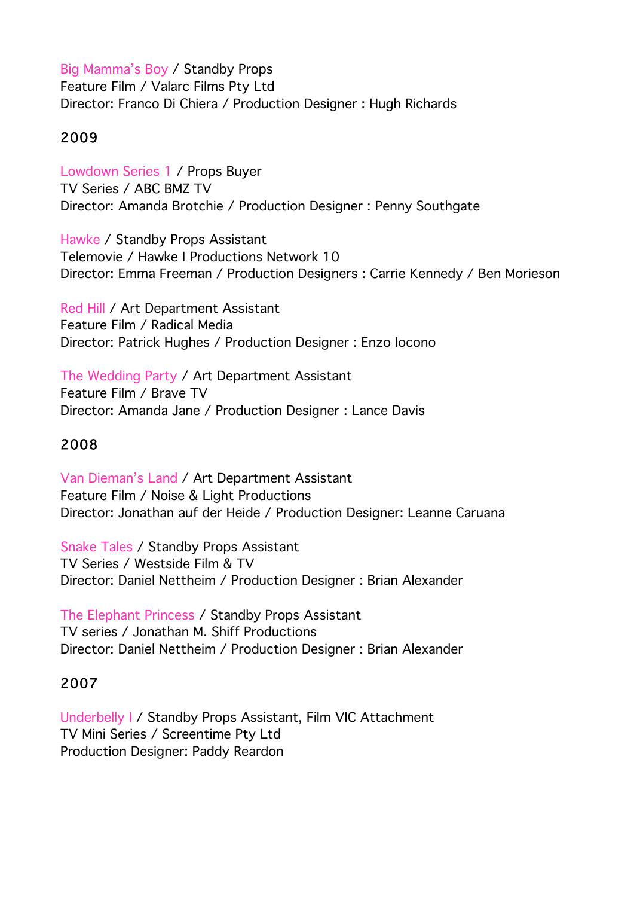Big Mamma's Boy / Standby Props Feature Film / Valarc Films Pty Ltd Director: Franco Di Chiera / Production Designer : Hugh Richards

# 2009

Lowdown Series 1 / Props Buyer TV Series / ABC BMZ TV Director: Amanda Brotchie / Production Designer : Penny Southgate

Hawke / Standby Props Assistant Telemovie / Hawke I Productions Network 10 Director: Emma Freeman / Production Designers : Carrie Kennedy / Ben Morieson

Red Hill / Art Department Assistant Feature Film / Radical Media Director: Patrick Hughes / Production Designer : Enzo Iocono

The Wedding Party / Art Department Assistant Feature Film / Brave TV Director: Amanda Jane / Production Designer : Lance Davis

# 2008

Van Dieman's Land / Art Department Assistant Feature Film / Noise & Light Productions Director: Jonathan auf der Heide / Production Designer: Leanne Caruana

Snake Tales / Standby Props Assistant TV Series / Westside Film & TV Director: Daniel Nettheim / Production Designer : Brian Alexander

The Elephant Princess / Standby Props Assistant TV series / Jonathan M. Shiff Productions Director: Daniel Nettheim / Production Designer : Brian Alexander

## 2007

Underbelly I / Standby Props Assistant, Film VIC Attachment TV Mini Series / Screentime Pty Ltd Production Designer: Paddy Reardon